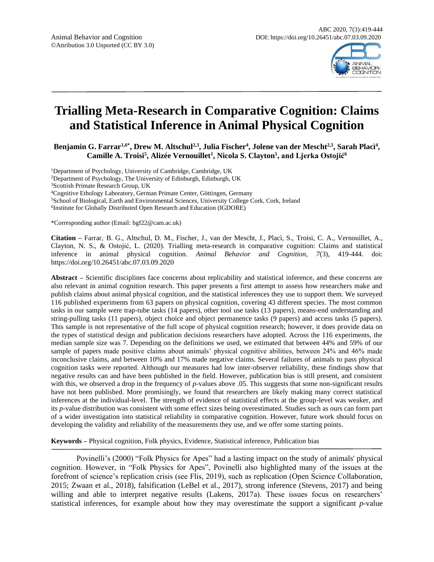

# **Trialling Meta-Research in Comparative Cognition: Claims and Statistical Inference in Animal Physical Cognition**

**Benjamin G. Farrar1,6\*, Drew M. Altschul2,3, Julia Fischer<sup>4</sup> , Jolene van der Mescht2,3, Sarah Placì<sup>4</sup> , Camille A. Troisi<sup>5</sup> , Alizée Vernouillet<sup>1</sup> , Nicola S. Clayton<sup>1</sup> , and Ljerka Ostojić<sup>6</sup>**

<sup>1</sup>Department of Psychology, University of Cambridge, Cambridge, UK

<sup>2</sup>Department of Psychology, The University of Edinburgh, Edinburgh, UK

<sup>3</sup>Scottish Primate Research Group, UK

<sup>4</sup>Cognitive Ethology Laboratory, German Primate Center, Göttingen, Germany

<sup>5</sup>School of Biological, Earth and Environmental Sciences, University College Cork, Cork, Ireland

6 Institute for Globally Distributed Open Research and Education (IGDORE)

\*Corresponding author (Email: bgf22@cam.ac.uk)

Citation – Farrar, B. G., Altschul, D. M., Fischer, J., van der Mescht, J., Placì, S., Troisi, C. A., Vernouillet, A., Clayton, N. S., & Ostojić, L. (2020). Trialling meta-research in comparative cognition: Claims and statistical inference in animal physical cognition. *Animal Behavior and Cognition, 7*(3), 419-444. doi: https://doi.org/10.26451/abc.07.03.09.2020

**Abstract –** Scientific disciplines face concerns about replicability and statistical inference, and these concerns are also relevant in animal cognition research. This paper presents a first attempt to assess how researchers make and publish claims about animal physical cognition, and the statistical inferences they use to support them. We surveyed 116 published experiments from 63 papers on physical cognition, covering 43 different species. The most common tasks in our sample were trap-tube tasks (14 papers), other tool use tasks (13 papers), means-end understanding and string-pulling tasks (11 papers), object choice and object permanence tasks (9 papers) and access tasks (5 papers). This sample is not representative of the full scope of physical cognition research; however, it does provide data on the types of statistical design and publication decisions researchers have adopted. Across the 116 experiments, the median sample size was 7. Depending on the definitions we used, we estimated that between 44% and 59% of our sample of papers made positive claims about animals' physical cognitive abilities, between 24% and 46% made inconclusive claims, and between 10% and 17% made negative claims. Several failures of animals to pass physical cognition tasks were reported. Although our measures had low inter-observer reliability, these findings show that negative results can and have been published in the field. However, publication bias is still present, and consistent with this, we observed a drop in the frequency of *p*-values above .05. This suggests that some non-significant results have not been published. More promisingly, we found that researchers are likely making many correct statistical inferences at the individual-level. The strength of evidence of statistical effects at the group-level was weaker, and its *p*-value distribution was consistent with some effect sizes being overestimated. Studies such as ours can form part of a wider investigation into statistical reliability in comparative cognition. However, future work should focus on developing the validity and reliability of the measurements they use, and we offer some starting points.

**Keywords –** Physical cognition, Folk physics, Evidence, Statistical inference, Publication bias

Povinelli's (2000) "Folk Physics for Apes" had a lasting impact on the study of animals' physical cognition. However, in "Folk Physics for Apes", Povinelli also highlighted many of the issues at the forefront of science's replication crisis (see Flis, 2019), such as replication (Open Science Collaboration, 2015; Zwaan et al., 2018), falsification (LeBel et al., 2017), strong inference (Stevens, 2017) and being willing and able to interpret negative results (Lakens, 2017a). These issues focus on researchers' statistical inferences, for example about how they may overestimate the support a significant *p*-value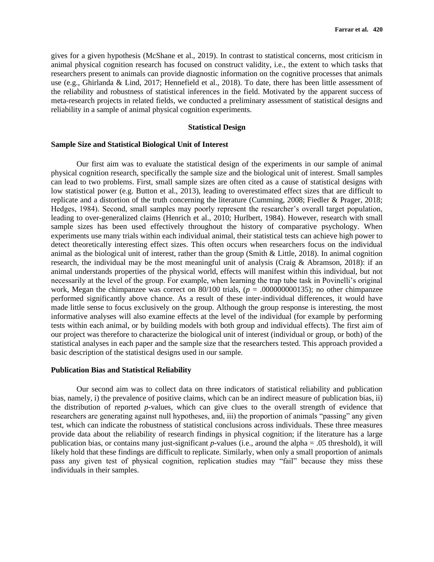gives for a given hypothesis (McShane et al., 2019). In contrast to statistical concerns, most criticism in animal physical cognition research has focused on construct validity, i.e., the extent to which tasks that researchers present to animals can provide diagnostic information on the cognitive processes that animals use (e.g., Ghirlanda & Lind, 2017; Hennefield et al., 2018). To date, there has been little assessment of the reliability and robustness of statistical inferences in the field. Motivated by the apparent success of meta-research projects in related fields, we conducted a preliminary assessment of statistical designs and reliability in a sample of animal physical cognition experiments.

# **Statistical Design**

# **Sample Size and Statistical Biological Unit of Interest**

Our first aim was to evaluate the statistical design of the experiments in our sample of animal physical cognition research, specifically the sample size and the biological unit of interest. Small samples can lead to two problems. First, small sample sizes are often cited as a cause of statistical designs with low statistical power (e.g. Button et al., 2013), leading to overestimated effect sizes that are difficult to replicate and a distortion of the truth concerning the literature (Cumming, 2008; Fiedler & Prager, 2018; Hedges, 1984). Second, small samples may poorly represent the researcher's overall target population, leading to over-generalized claims (Henrich et al., 2010; Hurlbert, 1984). However, research with small sample sizes has been used effectively throughout the history of comparative psychology. When experiments use many trials within each individual animal, their statistical tests can achieve high power to detect theoretically interesting effect sizes. This often occurs when researchers focus on the individual animal as the biological unit of interest, rather than the group (Smith & Little, 2018). In animal cognition research, the individual may be the most meaningful unit of analysis (Craig & Abramson, 2018): if an animal understands properties of the physical world, effects will manifest within this individual, but not necessarily at the level of the group. For example, when learning the trap tube task in Povinelli's original work, Megan the chimpanzee was correct on  $80/100$  trials, ( $p = .000000000135$ ); no other chimpanzee performed significantly above chance. As a result of these inter-individual differences, it would have made little sense to focus exclusively on the group. Although the group response is interesting, the most informative analyses will also examine effects at the level of the individual (for example by performing tests within each animal, or by building models with both group and individual effects). The first aim of our project was therefore to characterize the biological unit of interest (individual or group, or both) of the statistical analyses in each paper and the sample size that the researchers tested. This approach provided a basic description of the statistical designs used in our sample.

#### **Publication Bias and Statistical Reliability**

Our second aim was to collect data on three indicators of statistical reliability and publication bias, namely, i) the prevalence of positive claims, which can be an indirect measure of publication bias, ii) the distribution of reported *p*-values, which can give clues to the overall strength of evidence that researchers are generating against null hypotheses, and, iii) the proportion of animals "passing" any given test, which can indicate the robustness of statistical conclusions across individuals. These three measures provide data about the reliability of research findings in physical cognition; if the literature has a large publication bias, or contains many just-significant *p*-values (i.e., around the alpha = .05 threshold), it will likely hold that these findings are difficult to replicate. Similarly, when only a small proportion of animals pass any given test of physical cognition, replication studies may "fail" because they miss these individuals in their samples.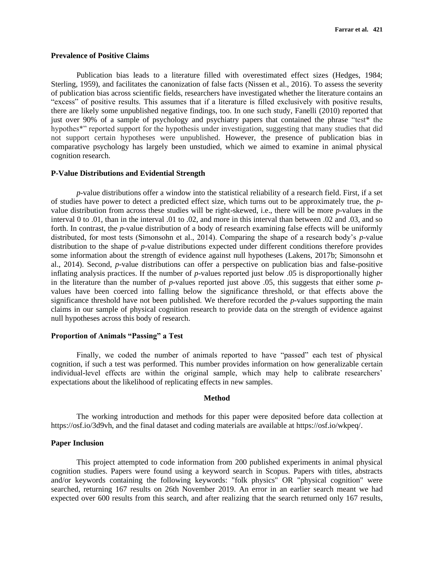## **Prevalence of Positive Claims**

Publication bias leads to a literature filled with overestimated effect sizes (Hedges, 1984; Sterling, 1959), and facilitates the canonization of false facts (Nissen et al., 2016). To assess the severity of publication bias across scientific fields, researchers have investigated whether the literature contains an "excess" of positive results. This assumes that if a literature is filled exclusively with positive results, there are likely some unpublished negative findings, too. In one such study, Fanelli (2010) reported that just over 90% of a sample of psychology and psychiatry papers that contained the phrase "test\* the hypothes\*" reported support for the hypothesis under investigation, suggesting that many studies that did not support certain hypotheses were unpublished. However, the presence of publication bias in comparative psychology has largely been unstudied, which we aimed to examine in animal physical cognition research.

# **P-Value Distributions and Evidential Strength**

*p*-value distributions offer a window into the statistical reliability of a research field. First, if a set of studies have power to detect a predicted effect size, which turns out to be approximately true, the *p*value distribution from across these studies will be right-skewed, i.e., there will be more *p*-values in the interval 0 to .01, than in the interval .01 to .02, and more in this interval than between .02 and .03, and so forth. In contrast, the *p*-value distribution of a body of research examining false effects will be uniformly distributed, for most tests (Simonsohn et al., 2014). Comparing the shape of a research body's *p*-value distribution to the shape of *p*-value distributions expected under different conditions therefore provides some information about the strength of evidence against null hypotheses (Lakens, 2017b; Simonsohn et al., 2014). Second, *p*-value distributions can offer a perspective on publication bias and false-positive inflating analysis practices. If the number of *p*-values reported just below .05 is disproportionally higher in the literature than the number of *p*-values reported just above .05, this suggests that either some *p*values have been coerced into falling below the significance threshold, or that effects above the significance threshold have not been published. We therefore recorded the *p*-values supporting the main claims in our sample of physical cognition research to provide data on the strength of evidence against null hypotheses across this body of research.

# **Proportion of Animals "Passing" a Test**

Finally, we coded the number of animals reported to have "passed" each test of physical cognition, if such a test was performed. This number provides information on how generalizable certain individual-level effects are within the original sample, which may help to calibrate researchers' expectations about the likelihood of replicating effects in new samples.

# **Method**

The working introduction and methods for this paper were deposited before data collection at https://osf.io/3d9vh, and the final dataset and coding materials are available at https://osf.io/wkpeq/.

# **Paper Inclusion**

This project attempted to code information from 200 published experiments in animal physical cognition studies. Papers were found using a keyword search in Scopus. Papers with titles, abstracts and/or keywords containing the following keywords: "folk physics" OR "physical cognition" were searched, returning 167 results on 26th November 2019. An error in an earlier search meant we had expected over 600 results from this search, and after realizing that the search returned only 167 results,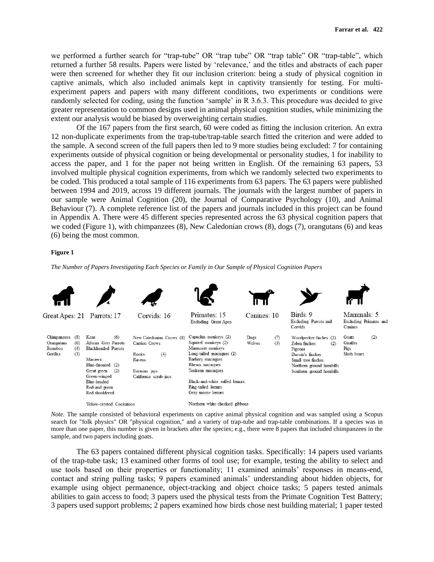we performed a further search for "trap-tube" OR "trap tube" OR "trap table" OR "trap-table", which returned a further 58 results. Papers were listed by 'relevance,' and the titles and abstracts of each paper were then screened for whether they fit our inclusion criterion: being a study of physical cognition in captive animals, which also included animals kept in captivity transiently for testing. For multiexperiment papers and papers with many different conditions, two experiments or conditions were randomly selected for coding, using the function 'sample' in R 3.6.3. This procedure was decided to give greater representation to common designs used in animal physical cognition studies, while minimizing the extent our analysis would be biased by overweighting certain studies.

Of the 167 papers from the first search, 60 were coded as fitting the inclusion criterion. An extra 12 non-duplicate experiments from the trap-tube/trap-table search fitted the criterion and were added to the sample. A second screen of the full papers then led to 9 more studies being excluded: 7 for containing experiments outside of physical cognition or being developmental or personality studies, 1 for inability to access the paper, and 1 for the paper not being written in English. Of the remaining 63 papers, 53 involved multiple physical cognition experiments, from which we randomly selected two experiments to be coded. This produced a total sample of 116 experiments from 63 papers. The 63 papers were published between 1994 and 2019, across 19 different journals. The journals with the largest number of papers in our sample were Animal Cognition (20), the Journal of Comparative Psychology (10), and Animal Behaviour (7). A complete reference list of the papers and journals included in this project can be found in Appendix A. There were 45 different species represented across the 63 physical cognition papers that we coded (Figure 1), with chimpanzees (8), New Caledonian crows (8), dogs (7), orangutans (6) and keas (6) being the most common.

#### **Figure 1**

*The Number of Papers Investigating Each Species or Family in Our Sample of Physical Cognition Papers*



*Note*. The sample consisted of behavioral experiments on captive animal physical cognition and was sampled using a Scopus search for "folk physics" OR "physical cognition," and a variety of trap-tube and trap-table combinations. If a species was in more than one paper, this number is given in brackets after the species; e.g., there were 8 papers that included chimpanzees in the sample, and two papers including goats.

The 63 papers contained different physical cognition tasks. Specifically: 14 papers used variants of the trap-tube task; 13 examined other forms of tool use; for example, testing the ability to select and use tools based on their properties or functionality; 11 examined animals' responses in means-end, contact and string pulling tasks; 9 papers examined animals' understanding about hidden objects, for example using object permanence, object-tracking and object choice tasks; 5 papers tested animals abilities to gain access to food; 3 papers used the physical tests from the Primate Cognition Test Battery; 3 papers used support problems; 2 papers examined how birds chose nest building material; 1 paper tested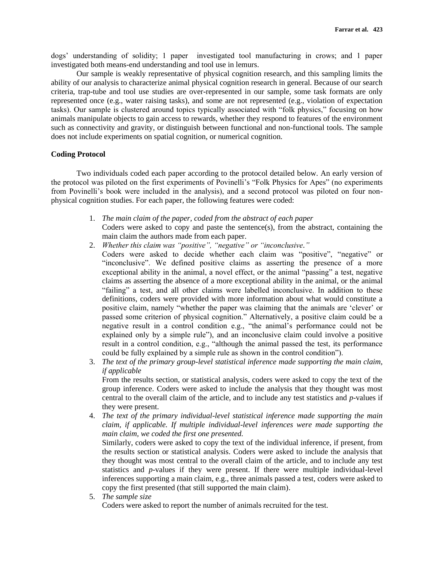dogs' understanding of solidity; 1 paper investigated tool manufacturing in crows; and 1 paper investigated both means-end understanding and tool use in lemurs.

Our sample is weakly representative of physical cognition research, and this sampling limits the ability of our analysis to characterize animal physical cognition research in general. Because of our search criteria, trap-tube and tool use studies are over-represented in our sample, some task formats are only represented once (e.g., water raising tasks), and some are not represented (e.g., violation of expectation tasks). Our sample is clustered around topics typically associated with "folk physics," focusing on how animals manipulate objects to gain access to rewards, whether they respond to features of the environment such as connectivity and gravity, or distinguish between functional and non-functional tools. The sample does not include experiments on spatial cognition, or numerical cognition.

# **Coding Protocol**

Two individuals coded each paper according to the protocol detailed below. An early version of the protocol was piloted on the first experiments of Povinelli's "Folk Physics for Apes" (no experiments from Povinelli's book were included in the analysis), and a second protocol was piloted on four nonphysical cognition studies. For each paper, the following features were coded:

- 1. *The main claim of the paper, coded from the abstract of each paper* Coders were asked to copy and paste the sentence(s), from the abstract, containing the main claim the authors made from each paper.
- 2. *Whether this claim was "positive", "negative" or "inconclusive."*
	- Coders were asked to decide whether each claim was "positive", "negative" or "inconclusive". We defined positive claims as asserting the presence of a more exceptional ability in the animal, a novel effect, or the animal "passing" a test, negative claims as asserting the absence of a more exceptional ability in the animal, or the animal "failing" a test, and all other claims were labelled inconclusive. In addition to these definitions, coders were provided with more information about what would constitute a positive claim, namely "whether the paper was claiming that the animals are 'clever' or passed some criterion of physical cognition." Alternatively, a positive claim could be a negative result in a control condition e.g., "the animal's performance could not be explained only by a simple rule"), and an inconclusive claim could involve a positive result in a control condition, e.g., "although the animal passed the test, its performance could be fully explained by a simple rule as shown in the control condition").
- 3. *The text of the primary group-level statistical inference made supporting the main claim, if applicable*

From the results section, or statistical analysis, coders were asked to copy the text of the group inference. Coders were asked to include the analysis that they thought was most central to the overall claim of the article, and to include any test statistics and *p*-values if they were present.

4. *The text of the primary individual-level statistical inference made supporting the main claim, if applicable. If multiple individual-level inferences were made supporting the main claim, we coded the first one presented.* 

Similarly, coders were asked to copy the text of the individual inference, if present, from the results section or statistical analysis. Coders were asked to include the analysis that they thought was most central to the overall claim of the article, and to include any test statistics and *p*-values if they were present. If there were multiple individual-level inferences supporting a main claim, e.g., three animals passed a test, coders were asked to copy the first presented (that still supported the main claim).

5. *The sample size*

Coders were asked to report the number of animals recruited for the test.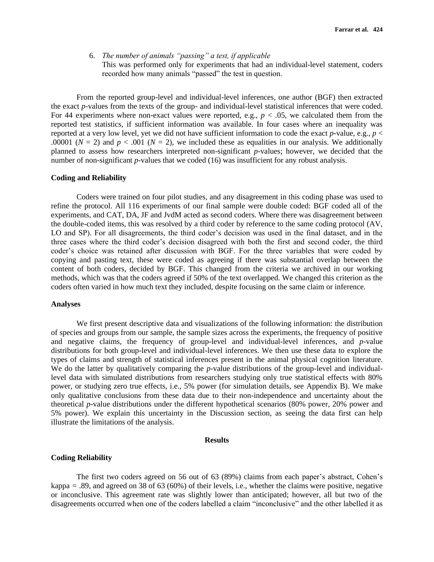6. *The number of animals "passing" a test, if applicable* This was performed only for experiments that had an individual-level statement, coders recorded how many animals "passed" the test in question.

From the reported group-level and individual-level inferences, one author (BGF) then extracted the exact *p*-values from the texts of the group- and individual-level statistical inferences that were coded. For 44 experiments where non-exact values were reported, e.g.,  $p < .05$ , we calculated them from the reported test statistics, if sufficient information was available. In four cases where an inequality was reported at a very low level, yet we did not have sufficient information to code the exact *p*-value, e.g., *p* < .00001 ( $N = 2$ ) and  $p < .001$  ( $N = 2$ ), we included these as equalities in our analysis. We additionally planned to assess how researchers interpreted non-significant *p*-values; however, we decided that the number of non-significant *p*-values that we coded (16) was insufficient for any robust analysis.

## **Coding and Reliability**

Coders were trained on four pilot studies, and any disagreement in this coding phase was used to refine the protocol. All 116 experiments of our final sample were double coded: BGF coded all of the experiments, and CAT, DA, JF and JvdM acted as second coders. Where there was disagreement between the double-coded items, this was resolved by a third coder by reference to the same coding protocol (AV, LO and SP). For all disagreements, the third coder's decision was used in the final dataset, and in the three cases where the third coder's decision disagreed with both the first and second coder, the third coder's choice was retained after discussion with BGF. For the three variables that were coded by copying and pasting text, these were coded as agreeing if there was substantial overlap between the content of both coders, decided by BGF. This changed from the criteria we archived in our working methods, which was that the coders agreed if 50% of the text overlapped. We changed this criterion as the coders often varied in how much text they included, despite focusing on the same claim or inference.

# **Analyses**

We first present descriptive data and visualizations of the following information: the distribution of species and groups from our sample, the sample sizes across the experiments, the frequency of positive and negative claims, the frequency of group-level and individual-level inferences, and *p*-value distributions for both group-level and individual-level inferences. We then use these data to explore the types of claims and strength of statistical inferences present in the animal physical cognition literature. We do the latter by qualitatively comparing the *p*-value distributions of the group-level and individuallevel data with simulated distributions from researchers studying only true statistical effects with 80% power, or studying zero true effects, i.e., 5% power (for simulation details, see Appendix B). We make only qualitative conclusions from these data due to their non-independence and uncertainty about the theoretical *p*-value distributions under the different hypothetical scenarios (80% power, 20% power and 5% power). We explain this uncertainty in the Discussion section, as seeing the data first can help illustrate the limitations of the analysis.

#### **Results**

#### **Coding Reliability**

The first two coders agreed on 56 out of 63 (89%) claims from each paper's abstract, Cohen's kappa *=* .89, and agreed on 38 of 63 (60%) of their levels, i.e., whether the claims were positive, negative or inconclusive. This agreement rate was slightly lower than anticipated; however, all but two of the disagreements occurred when one of the coders labelled a claim "inconclusive" and the other labelled it as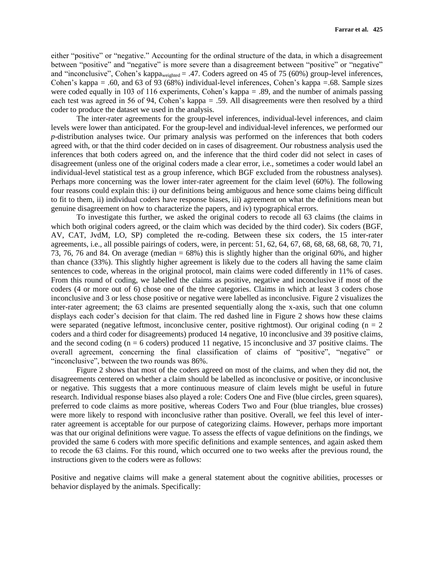either "positive" or "negative." Accounting for the ordinal structure of the data, in which a disagreement between "positive" and "negative" is more severe than a disagreement between "positive" or "negative" and "inconclusive", Cohen's kappa<sub>weighted</sub> = .47. Coders agreed on 45 of 75 (60%) group-level inferences, Cohen's kappa *=* .60, and 63 of 93 (68%) individual-level inferences, Cohen's kappa *=*.68. Sample sizes were coded equally in 103 of 116 experiments, Cohen's kappa *=* .89, and the number of animals passing each test was agreed in 56 of 94, Cohen's kappa *=* .59. All disagreements were then resolved by a third coder to produce the dataset we used in the analysis.

The inter-rater agreements for the group-level inferences, individual-level inferences, and claim levels were lower than anticipated. For the group-level and individual-level inferences, we performed our *p*-distribution analyses twice. Our primary analysis was performed on the inferences that both coders agreed with, or that the third coder decided on in cases of disagreement. Our robustness analysis used the inferences that both coders agreed on, and the inference that the third coder did not select in cases of disagreement (unless one of the original coders made a clear error, i.e., sometimes a coder would label an individual-level statistical test as a group inference, which BGF excluded from the robustness analyses). Perhaps more concerning was the lower inter-rater agreement for the claim level (60%). The following four reasons could explain this: i) our definitions being ambiguous and hence some claims being difficult to fit to them, ii) individual coders have response biases, iii) agreement on what the definitions mean but genuine disagreement on how to characterize the papers, and iv) typographical errors.

To investigate this further, we asked the original coders to recode all 63 claims (the claims in which both original coders agreed, or the claim which was decided by the third coder). Six coders (BGF, AV, CAT, JvdM, LO, SP) completed the re-coding. Between these six coders, the 15 inter-rater agreements, i.e., all possible pairings of coders, were, in percent: 51, 62, 64, 67, 68, 68, 68, 68, 68, 70, 71, 73, 76, 76 and 84. On average (median = 68%) this is slightly higher than the original 60%, and higher than chance (33%). This slightly higher agreement is likely due to the coders all having the same claim sentences to code, whereas in the original protocol, main claims were coded differently in 11% of cases. From this round of coding, we labelled the claims as positive, negative and inconclusive if most of the coders (4 or more out of 6) chose one of the three categories. Claims in which at least 3 coders chose inconclusive and 3 or less chose positive or negative were labelled as inconclusive. Figure 2 visualizes the inter-rater agreement; the 63 claims are presented sequentially along the x-axis, such that one column displays each coder's decision for that claim. The red dashed line in Figure 2 shows how these claims were separated (negative leftmost, inconclusive center, positive rightmost). Our original coding ( $n = 2$ ) coders and a third coder for disagreements) produced 14 negative, 10 inconclusive and 39 positive claims, and the second coding  $(n = 6$  coders) produced 11 negative, 15 inconclusive and 37 positive claims. The overall agreement, concerning the final classification of claims of "positive", "negative" or "inconclusive", between the two rounds was 86%.

Figure 2 shows that most of the coders agreed on most of the claims, and when they did not, the disagreements centered on whether a claim should be labelled as inconclusive or positive, or inconclusive or negative. This suggests that a more continuous measure of claim levels might be useful in future research. Individual response biases also played a role: Coders One and Five (blue circles, green squares), preferred to code claims as more positive, whereas Coders Two and Four (blue triangles, blue crosses) were more likely to respond with inconclusive rather than positive. Overall, we feel this level of interrater agreement is acceptable for our purpose of categorizing claims. However, perhaps more important was that our original definitions were vague. To assess the effects of vague definitions on the findings, we provided the same 6 coders with more specific definitions and example sentences, and again asked them to recode the 63 claims. For this round, which occurred one to two weeks after the previous round, the instructions given to the coders were as follows:

Positive and negative claims will make a general statement about the cognitive abilities, processes or behavior displayed by the animals. Specifically: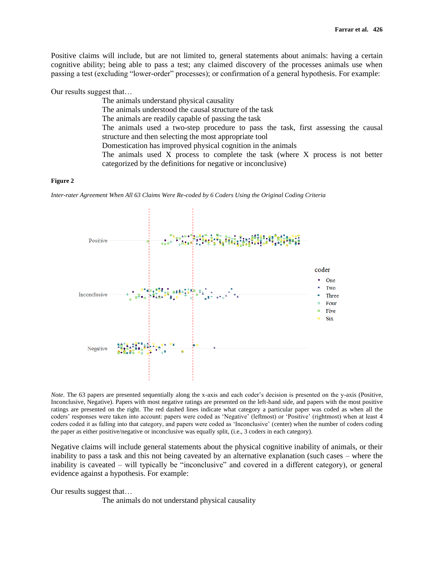Positive claims will include, but are not limited to, general statements about animals: having a certain cognitive ability; being able to pass a test; any claimed discovery of the processes animals use when passing a test (excluding "lower-order" processes); or confirmation of a general hypothesis. For example:

Our results suggest that…

The animals understand physical causality The animals understood the causal structure of the task The animals are readily capable of passing the task The animals used a two-step procedure to pass the task, first assessing the causal structure and then selecting the most appropriate tool Domestication has improved physical cognition in the animals The animals used X process to complete the task (where X process is not better categorized by the definitions for negative or inconclusive)

#### **Figure 2**

*Inter-rater Agreement When All 63 Claims Were Re-coded by 6 Coders Using the Original Coding Criteria*



*Note*. The 63 papers are presented sequentially along the x-axis and each coder's decision is presented on the y-axis (Positive, Inconclusive, Negative). Papers with most negative ratings are presented on the left-hand side, and papers with the most positive ratings are presented on the right. The red dashed lines indicate what category a particular paper was coded as when all the coders' responses were taken into account: papers were coded as 'Negative' (leftmost) or 'Positive' (rightmost) when at least 4 coders coded it as falling into that category, and papers were coded as 'Inconclusive' (center) when the number of coders coding the paper as either positive/negative or inconclusive was equally split, (i.e., 3 coders in each category).

Negative claims will include general statements about the physical cognitive inability of animals, or their inability to pass a task and this not being caveated by an alternative explanation (such cases – where the inability is caveated – will typically be "inconclusive" and covered in a different category), or general evidence against a hypothesis. For example:

Our results suggest that…

The animals do not understand physical causality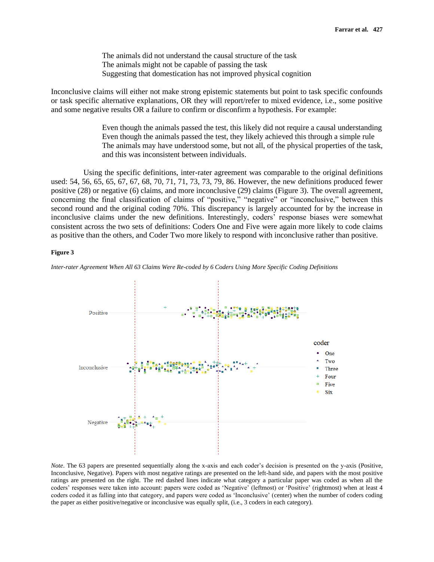The animals did not understand the causal structure of the task The animals might not be capable of passing the task Suggesting that domestication has not improved physical cognition

Inconclusive claims will either not make strong epistemic statements but point to task specific confounds or task specific alternative explanations, OR they will report/refer to mixed evidence, i.e., some positive and some negative results OR a failure to confirm or disconfirm a hypothesis. For example:

> Even though the animals passed the test, this likely did not require a causal understanding Even though the animals passed the test, they likely achieved this through a simple rule The animals may have understood some, but not all, of the physical properties of the task, and this was inconsistent between individuals.

Using the specific definitions, inter-rater agreement was comparable to the original definitions used: 54, 56, 65, 65, 67, 67, 68, 70, 71, 71, 73, 73, 79, 86. However, the new definitions produced fewer positive (28) or negative (6) claims, and more inconclusive (29) claims (Figure 3). The overall agreement, concerning the final classification of claims of "positive," "negative" or "inconclusive," between this second round and the original coding 70%. This discrepancy is largely accounted for by the increase in inconclusive claims under the new definitions. Interestingly, coders' response biases were somewhat consistent across the two sets of definitions: Coders One and Five were again more likely to code claims as positive than the others, and Coder Two more likely to respond with inconclusive rather than positive.

#### **Figure 3**

*Inter-rater Agreement When All 63 Claims Were Re-coded by 6 Coders Using More Specific Coding Definitions*



*Note*. The 63 papers are presented sequentially along the x-axis and each coder's decision is presented on the y-axis (Positive, Inconclusive, Negative). Papers with most negative ratings are presented on the left-hand side, and papers with the most positive ratings are presented on the right. The red dashed lines indicate what category a particular paper was coded as when all the coders' responses were taken into account: papers were coded as 'Negative' (leftmost) or 'Positive' (rightmost) when at least 4 coders coded it as falling into that category, and papers were coded as 'Inconclusive' (center) when the number of coders coding the paper as either positive/negative or inconclusive was equally split, (i.e., 3 coders in each category).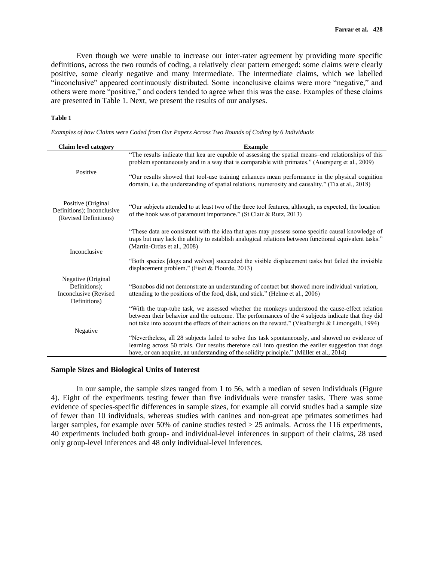Even though we were unable to increase our inter-rater agreement by providing more specific definitions, across the two rounds of coding, a relatively clear pattern emerged: some claims were clearly positive, some clearly negative and many intermediate. The intermediate claims, which we labelled "inconclusive" appeared continuously distributed. Some inconclusive claims were more "negative," and others were more "positive," and coders tended to agree when this was the case. Examples of these claims are presented in Table 1. Next, we present the results of our analyses.

# **Table 1**

*Examples of how Claims were Coded from Our Papers Across Two Rounds of Coding by 6 Individuals*

| <b>Claim level category</b>                                                  | <b>Example</b>                                                                                                                                                                                                                                                                                                                                                                                                |
|------------------------------------------------------------------------------|---------------------------------------------------------------------------------------------------------------------------------------------------------------------------------------------------------------------------------------------------------------------------------------------------------------------------------------------------------------------------------------------------------------|
| Positive                                                                     | "The results indicate that kea are capable of assessing the spatial means-end relationships of this<br>problem spontaneously and in a way that is comparable with primates." (Auersperg et al., 2009)<br>"Our results showed that tool-use training enhances mean performance in the physical cognition<br>domain, i.e. the understanding of spatial relations, numerosity and causality." (Tia et al., 2018) |
| Positive (Original<br>Definitions); Inconclusive<br>(Revised Definitions)    | "Our subjects attended to at least two of the three tool features, although, as expected, the location<br>of the hook was of paramount importance." (St Clair & Rutz, 2013)                                                                                                                                                                                                                                   |
| Inconclusive                                                                 | "These data are consistent with the idea that apes may possess some specific causal knowledge of<br>traps but may lack the ability to establish analogical relations between functional equivalent tasks."<br>(Martin-Ordas et al., 2008)                                                                                                                                                                     |
|                                                                              | "Both species [dogs and wolves] succeeded the visible displacement tasks but failed the invisible<br>displacement problem." (Fiset & Plourde, 2013)                                                                                                                                                                                                                                                           |
| Negative (Original<br>Definitions);<br>Inconclusive (Revised<br>Definitions) | "Bonobos did not demonstrate an understanding of contact but showed more individual variation,<br>attending to the positions of the food, disk, and stick." (Helme et al., 2006)                                                                                                                                                                                                                              |
|                                                                              | "With the trap-tube task, we assessed whether the monkeys understood the cause-effect relation<br>between their behavior and the outcome. The performances of the 4 subjects indicate that they did<br>not take into account the effects of their actions on the reward." (Visalberghi & Limongelli, 1994)                                                                                                    |
| Negative                                                                     | "Nevertheless, all 28 subjects failed to solve this task spontaneously, and showed no evidence of                                                                                                                                                                                                                                                                                                             |
|                                                                              | learning across 50 trials. Our results therefore call into question the earlier suggestion that dogs<br>have, or can acquire, an understanding of the solidity principle." (Müller et al., 2014)                                                                                                                                                                                                              |

#### **Sample Sizes and Biological Units of Interest**

In our sample, the sample sizes ranged from 1 to 56, with a median of seven individuals (Figure 4). Eight of the experiments testing fewer than five individuals were transfer tasks. There was some evidence of species-specific differences in sample sizes, for example all corvid studies had a sample size of fewer than 10 individuals, whereas studies with canines and non-great ape primates sometimes had larger samples, for example over 50% of canine studies tested  $>$  25 animals. Across the 116 experiments, 40 experiments included both group- and individual-level inferences in support of their claims, 28 used only group-level inferences and 48 only individual-level inferences.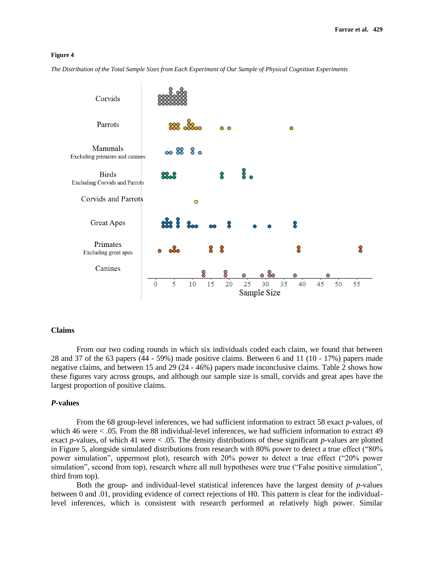*The Distribution of the Total Sample Sizes from Each Experiment of Our Sample of Physical Cognition Experiments*



#### **Claims**

From our two coding rounds in which six individuals coded each claim, we found that between 28 and 37 of the 63 papers (44 - 59%) made positive claims. Between 6 and 11 (10 - 17%) papers made negative claims, and between 15 and 29 (24 - 46%) papers made inconclusive claims. Table 2 shows how these figures vary across groups, and although our sample size is small, corvids and great apes have the largest proportion of positive claims.

#### *P-***values**

From the 68 group-level inferences, we had sufficient information to extract 58 exact *p*-values, of which 46 were  $\lt$  0.05. From the 88 individual-level inferences, we had sufficient information to extract 49 exact *p*-values, of which 41 were < .05. The density distributions of these significant *p*-values are plotted in Figure 5, alongside simulated distributions from research with 80% power to detect a true effect ("80% power simulation", uppermost plot), research with 20% power to detect a true effect ("20% power simulation", second from top), research where all null hypotheses were true ("False positive simulation", third from top).

Both the group- and individual-level statistical inferences have the largest density of *p*-values between 0 and .01, providing evidence of correct rejections of H0. This pattern is clear for the individuallevel inferences, which is consistent with research performed at relatively high power. Similar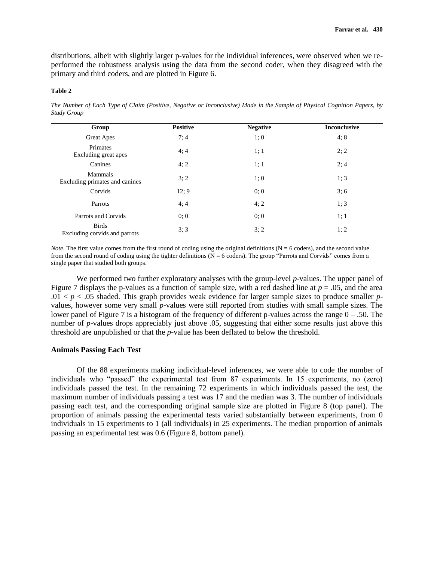distributions, albeit with slightly larger p-values for the individual inferences, were observed when we reperformed the robustness analysis using the data from the second coder, when they disagreed with the primary and third coders, and are plotted in Figure 6.

#### **Table 2**

*The Number of Each Type of Claim (Positive, Negative or Inconclusive) Made in the Sample of Physical Cognition Papers, by Study Group*

| Group                                         | <b>Positive</b> | <b>Negative</b> | <b>Inconclusive</b> |
|-----------------------------------------------|-----------------|-----------------|---------------------|
| Great Apes                                    | 7:4             | 1;0             | 4;8                 |
| Primates<br>Excluding great apes              | 4:4             | 1; 1            | 2; 2                |
| Canines                                       | 4; 2            | 1; 1            | 2:4                 |
| Mammals<br>Excluding primates and canines     | 3; 2            | 1;0             | 1; 3                |
| Corvids                                       | 12:9            | 0:0             | 3; 6                |
| Parrots                                       | 4; 4            | 4; 2            | 1; 3                |
| Parrots and Corvids                           | 0; 0            | 0:0             | 1; 1                |
| <b>Birds</b><br>Excluding corvids and parrots | 3; 3            | 3:2             | 1; 2                |

*Note*. The first value comes from the first round of coding using the original definitions ( $N = 6$  coders), and the second value from the second round of coding using the tighter definitions ( $N = 6$  coders). The group "Parrots and Corvids" comes from a single paper that studied both groups.

We performed two further exploratory analyses with the group-level *p*-values. The upper panel of Figure 7 displays the p-values as a function of sample size, with a red dashed line at *p* = .05, and the area  $.01 < p < .05$  shaded. This graph provides weak evidence for larger sample sizes to produce smaller *p*values, however some very small *p*-values were still reported from studies with small sample sizes. The lower panel of Figure 7 is a histogram of the frequency of different p-values across the range  $0 - .50$ . The number of *p*-values drops appreciably just above .05, suggesting that either some results just above this threshold are unpublished or that the *p*-value has been deflated to below the threshold.

# **Animals Passing Each Test**

Of the 88 experiments making individual-level inferences, we were able to code the number of individuals who "passed" the experimental test from 87 experiments. In 15 experiments, no (zero) individuals passed the test. In the remaining 72 experiments in which individuals passed the test, the maximum number of individuals passing a test was 17 and the median was 3. The number of individuals passing each test, and the corresponding original sample size are plotted in Figure 8 (top panel). The proportion of animals passing the experimental tests varied substantially between experiments, from 0 individuals in 15 experiments to 1 (all individuals) in 25 experiments. The median proportion of animals passing an experimental test was 0.6 (Figure 8, bottom panel).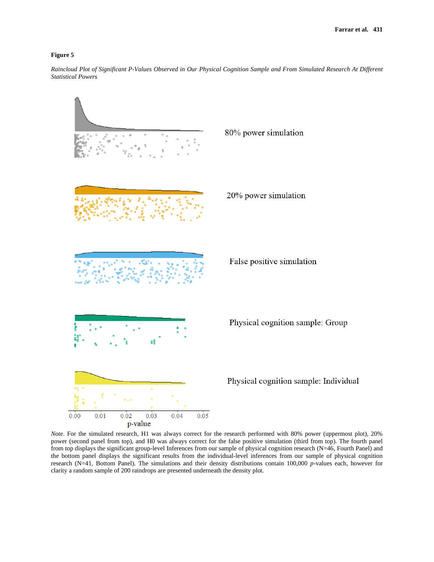*Raincloud Plot of Significant P-Values Observed in Our Physical Cognition Sample and From Simulated Research At Different Statistical Powers* 



*Note*. For the simulated research, H1 was always correct for the research performed with 80% power (uppermost plot), 20% power (second panel from top), and H0 was always correct for the false positive simulation (third from top). The fourth panel from top displays the significant group-level Inferences from our sample of physical cognition research (N=46, Fourth Panel) and the bottom panel displays the significant results from the individual-level inferences from our sample of physical cognition research (N=41, Bottom Panel). The simulations and their density distributions contain 100,000 *p*-values each, however for clarity a random sample of 200 raindrops are presented underneath the density plot.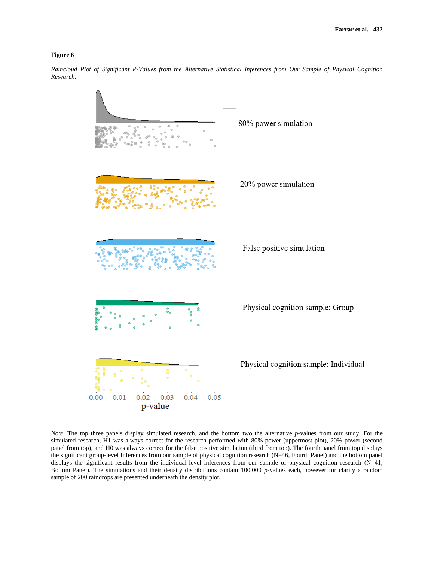*Raincloud Plot of Significant P-Values from the Alternative Statistical Inferences from Our Sample of Physical Cognition Research.*



*Note*. The top three panels display simulated research, and the bottom two the alternative *p*-values from our study. For the simulated research, H1 was always correct for the research performed with 80% power (uppermost plot), 20% power (second panel from top), and H0 was always correct for the false positive simulation (third from top). The fourth panel from top displays the significant group-level Inferences from our sample of physical cognition research (N=46, Fourth Panel) and the bottom panel displays the significant results from the individual-level inferences from our sample of physical cognition research (N=41, Bottom Panel). The simulations and their density distributions contain 100,000 *p*-values each, however for clarity a random sample of 200 raindrops are presented underneath the density plot.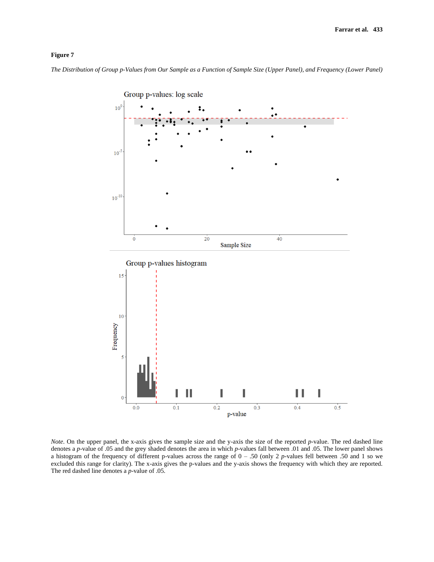*The Distribution of Group p-Values from Our Sample as a Function of Sample Size (Upper Panel), and Frequency (Lower Panel)* 



*Note*. On the upper panel, the x-axis gives the sample size and the y-axis the size of the reported *p*-value. The red dashed line denotes a *p*-value of .05 and the grey shaded denotes the area in which *p*-values fall between .01 and .05. The lower panel shows a histogram of the frequency of different p-values across the range of 0 – .50 (only 2 *p*-values fell between .50 and 1 so we excluded this range for clarity). The x-axis gives the p-values and the y-axis shows the frequency with which they are reported. The red dashed line denotes a *p*-value of .05.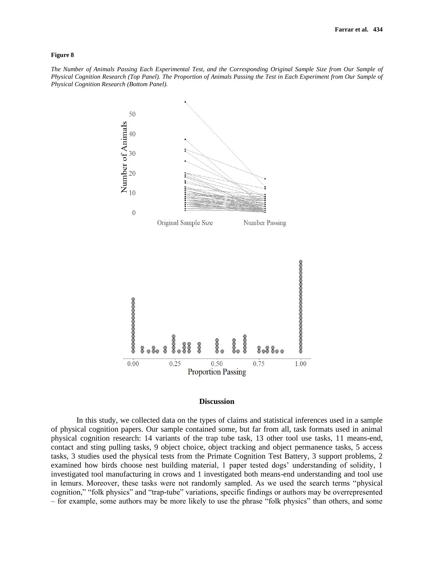*The Number of Animals Passing Each Experimental Test, and the Corresponding Original Sample Size from Our Sample of Physical Cognition Research (Top Panel). The Proportion of Animals Passing the Test in Each Experiment from Our Sample of Physical Cognition Research (Bottom Panel).* 



#### **Discussion**

In this study, we collected data on the types of claims and statistical inferences used in a sample of physical cognition papers. Our sample contained some, but far from all, task formats used in animal physical cognition research: 14 variants of the trap tube task, 13 other tool use tasks, 11 means-end, contact and sting pulling tasks, 9 object choice, object tracking and object permanence tasks, 5 access tasks, 3 studies used the physical tests from the Primate Cognition Test Battery, 3 support problems, 2 examined how birds choose nest building material, 1 paper tested dogs' understanding of solidity, 1 investigated tool manufacturing in crows and 1 investigated both means-end understanding and tool use in lemurs. Moreover, these tasks were not randomly sampled. As we used the search terms "physical cognition," "folk physics" and "trap-tube" variations, specific findings or authors may be overrepresented – for example, some authors may be more likely to use the phrase "folk physics" than others, and some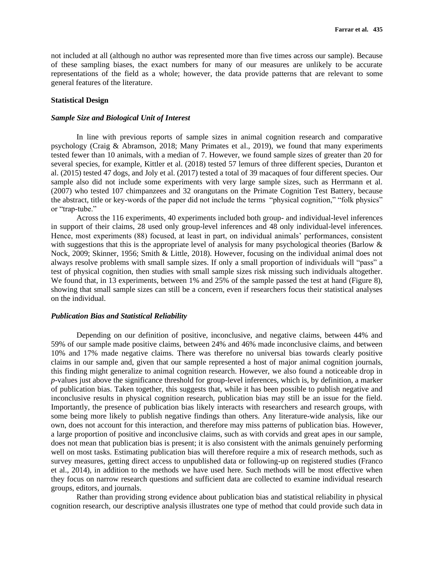not included at all (although no author was represented more than five times across our sample). Because of these sampling biases, the exact numbers for many of our measures are unlikely to be accurate representations of the field as a whole; however, the data provide patterns that are relevant to some general features of the literature.

## **Statistical Design**

# *Sample Size and Biological Unit of Interest*

In line with previous reports of sample sizes in animal cognition research and comparative psychology (Craig & Abramson, 2018; Many Primates et al., 2019), we found that many experiments tested fewer than 10 animals, with a median of 7. However, we found sample sizes of greater than 20 for several species, for example, Kittler et al. (2018) tested 57 lemurs of three different species, Duranton et al. (2015) tested 47 dogs, and Joly et al. (2017) tested a total of 39 macaques of four different species. Our sample also did not include some experiments with very large sample sizes, such as Herrmann et al. (2007) who tested 107 chimpanzees and 32 orangutans on the Primate Cognition Test Battery, because the abstract, title or key-words of the paper did not include the terms "physical cognition," "folk physics" or "trap-tube."

Across the 116 experiments, 40 experiments included both group- and individual-level inferences in support of their claims, 28 used only group-level inferences and 48 only individual-level inferences. Hence, most experiments (88) focused, at least in part, on individual animals' performances, consistent with suggestions that this is the appropriate level of analysis for many psychological theories (Barlow  $\&$ Nock, 2009; Skinner, 1956; Smith & Little, 2018). However, focusing on the individual animal does not always resolve problems with small sample sizes. If only a small proportion of individuals will "pass" a test of physical cognition, then studies with small sample sizes risk missing such individuals altogether. We found that, in 13 experiments, between 1% and 25% of the sample passed the test at hand (Figure 8), showing that small sample sizes can still be a concern, even if researchers focus their statistical analyses on the individual.

# *Publication Bias and Statistical Reliability*

Depending on our definition of positive, inconclusive, and negative claims, between 44% and 59% of our sample made positive claims, between 24% and 46% made inconclusive claims, and between 10% and 17% made negative claims. There was therefore no universal bias towards clearly positive claims in our sample and, given that our sample represented a host of major animal cognition journals, this finding might generalize to animal cognition research. However, we also found a noticeable drop in *p*-values just above the significance threshold for group-level inferences, which is, by definition, a marker of publication bias. Taken together, this suggests that, while it has been possible to publish negative and inconclusive results in physical cognition research, publication bias may still be an issue for the field. Importantly, the presence of publication bias likely interacts with researchers and research groups, with some being more likely to publish negative findings than others. Any literature-wide analysis, like our own, does not account for this interaction, and therefore may miss patterns of publication bias. However, a large proportion of positive and inconclusive claims, such as with corvids and great apes in our sample, does not mean that publication bias is present; it is also consistent with the animals genuinely performing well on most tasks. Estimating publication bias will therefore require a mix of research methods, such as survey measures, getting direct access to unpublished data or following-up on registered studies (Franco et al., 2014), in addition to the methods we have used here. Such methods will be most effective when they focus on narrow research questions and sufficient data are collected to examine individual research groups, editors, and journals.

Rather than providing strong evidence about publication bias and statistical reliability in physical cognition research, our descriptive analysis illustrates one type of method that could provide such data in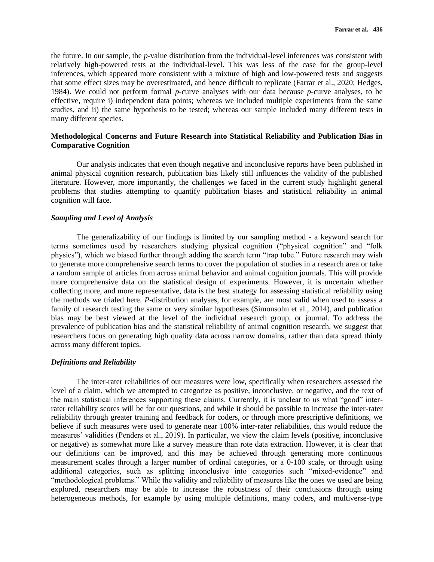the future. In our sample, the *p*-value distribution from the individual-level inferences was consistent with relatively high-powered tests at the individual-level. This was less of the case for the group-level inferences, which appeared more consistent with a mixture of high and low-powered tests and suggests that some effect sizes may be overestimated, and hence difficult to replicate (Farrar et al., 2020; Hedges, 1984). We could not perform formal *p*-curve analyses with our data because *p*-curve analyses, to be effective, require i) independent data points; whereas we included multiple experiments from the same studies, and ii) the same hypothesis to be tested; whereas our sample included many different tests in many different species.

# **Methodological Concerns and Future Research into Statistical Reliability and Publication Bias in Comparative Cognition**

Our analysis indicates that even though negative and inconclusive reports have been published in animal physical cognition research, publication bias likely still influences the validity of the published literature. However, more importantly, the challenges we faced in the current study highlight general problems that studies attempting to quantify publication biases and statistical reliability in animal cognition will face.

# *Sampling and Level of Analysis*

The generalizability of our findings is limited by our sampling method - a keyword search for terms sometimes used by researchers studying physical cognition ("physical cognition" and "folk physics"), which we biased further through adding the search term "trap tube." Future research may wish to generate more comprehensive search terms to cover the population of studies in a research area or take a random sample of articles from across animal behavior and animal cognition journals. This will provide more comprehensive data on the statistical design of experiments. However, it is uncertain whether collecting more, and more representative, data is the best strategy for assessing statistical reliability using the methods we trialed here. *P*-distribution analyses, for example, are most valid when used to assess a family of research testing the same or very similar hypotheses (Simonsohn et al., 2014), and publication bias may be best viewed at the level of the individual research group, or journal. To address the prevalence of publication bias and the statistical reliability of animal cognition research, we suggest that researchers focus on generating high quality data across narrow domains, rather than data spread thinly across many different topics.

# *Definitions and Reliability*

The inter-rater reliabilities of our measures were low, specifically when researchers assessed the level of a claim, which we attempted to categorize as positive, inconclusive, or negative, and the text of the main statistical inferences supporting these claims. Currently, it is unclear to us what "good" interrater reliability scores will be for our questions, and while it should be possible to increase the inter-rater reliability through greater training and feedback for coders, or through more prescriptive definitions, we believe if such measures were used to generate near 100% inter-rater reliabilities, this would reduce the measures' validities (Penders et al., 2019). In particular, we view the claim levels (positive, inconclusive or negative) as somewhat more like a survey measure than rote data extraction. However, it is clear that our definitions can be improved, and this may be achieved through generating more continuous measurement scales through a larger number of ordinal categories, or a 0-100 scale, or through using additional categories, such as splitting inconclusive into categories such "mixed-evidence" and "methodological problems." While the validity and reliability of measures like the ones we used are being explored, researchers may be able to increase the robustness of their conclusions through using heterogeneous methods, for example by using multiple definitions, many coders, and multiverse-type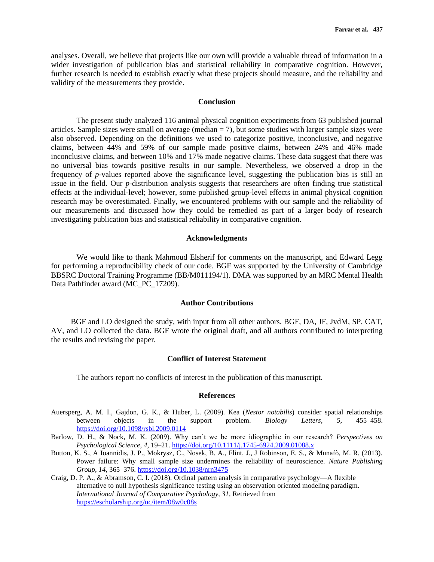analyses. Overall, we believe that projects like our own will provide a valuable thread of information in a wider investigation of publication bias and statistical reliability in comparative cognition. However, further research is needed to establish exactly what these projects should measure, and the reliability and validity of the measurements they provide.

# **Conclusion**

The present study analyzed 116 animal physical cognition experiments from 63 published journal articles. Sample sizes were small on average (median  $= 7$ ), but some studies with larger sample sizes were also observed. Depending on the definitions we used to categorize positive, inconclusive, and negative claims, between 44% and 59% of our sample made positive claims, between 24% and 46% made inconclusive claims, and between 10% and 17% made negative claims. These data suggest that there was no universal bias towards positive results in our sample. Nevertheless, we observed a drop in the frequency of *p*-values reported above the significance level, suggesting the publication bias is still an issue in the field. Our *p*-distribution analysis suggests that researchers are often finding true statistical effects at the individual-level; however, some published group-level effects in animal physical cognition research may be overestimated. Finally, we encountered problems with our sample and the reliability of our measurements and discussed how they could be remedied as part of a larger body of research investigating publication bias and statistical reliability in comparative cognition.

# **Acknowledgments**

We would like to thank Mahmoud Elsherif for comments on the manuscript, and Edward Legg for performing a reproducibility check of our code. BGF was supported by the University of Cambridge BBSRC Doctoral Training Programme (BB/M011194/1). DMA was supported by an MRC Mental Health Data Pathfinder award (MC\_PC\_17209).

# **Author Contributions**

BGF and LO designed the study, with input from all other authors. BGF, DA, JF, JvdM, SP, CAT, AV, and LO collected the data. BGF wrote the original draft, and all authors contributed to interpreting the results and revising the paper.

# **Conflict of Interest Statement**

The authors report no conflicts of interest in the publication of this manuscript.

#### **References**

- Auersperg, A. M. I., Gajdon, G. K., & Huber, L. (2009). Kea (*Nestor notabilis*) consider spatial relationships between objects in the support problem. *Biology Letters*, *5*, 455–458. [https://doi.org/10.1098/rsbl.2009.0114](https://doi.org/10.1038/s41598-017-11400-z)
- Barlow, D. H., & Nock, M. K. (2009). Why can't we be more idiographic in our research? *Perspectives on Psychological Science*, *4*, 19–21[. https://doi.org/10.1111/j.1745-6924.2009.01088.x](https://doi.org/10.1038/s41598-017-11400-z)
- Button, K. S., A Ioannidis, J. P., Mokrysz, C., Nosek, B. A., Flint, J., J Robinson, E. S., & Munafò, M. R. (2013). Power failure: Why small sample size undermines the reliability of neuroscience. *Nature Publishing Group*, *14*, 365–376. [https://doi.org/10.1038/nrn3475](https://doi.org/10.1038/s41598-017-11400-z)
- Craig, D. P. A., & Abramson, C. I. (2018). Ordinal pattern analysis in comparative psychology—A flexible alternative to null hypothesis significance testing using an observation oriented modeling paradigm. *International Journal of Comparative Psychology, 31,* Retrieved from [https://escholarship.org/uc/item/08w0c08s](https://doi.org/10.1038/s41598-017-11400-z)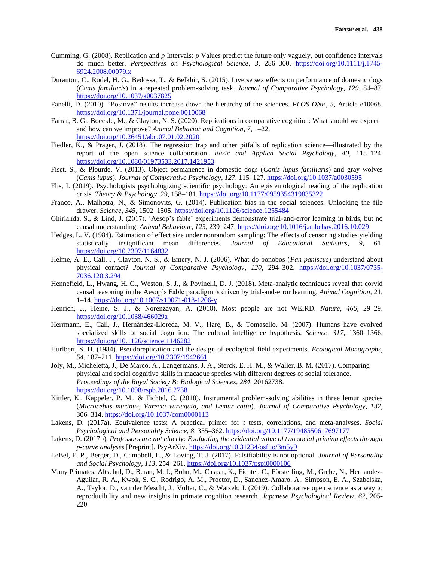- Cumming, G. (2008). Replication and *p* Intervals: *p* Values predict the future only vaguely, but confidence intervals do much better. *Perspectives on Psychological Science*, *3*, 286–300. [https://doi.org/10.1111/j.1745-](https://doi.org/10.1038/s41598-017-11400-z) [6924.2008.00079.x](https://doi.org/10.1038/s41598-017-11400-z)
- Duranton, C., Rödel, H. G., Bedossa, T., & Belkhir, S. (2015). Inverse sex effects on performance of domestic dogs (*Canis familiaris*) in a repeated problem-solving task. *Journal of Comparative Psychology*, *129*, 84–87. [https://doi.org/10.1037/a0037825](https://doi.org/10.1038/s41598-017-11400-z)
- Fanelli, D. (2010). "Positive" results increase down the hierarchy of the sciences. *PLOS ONE*, *5*, Article e10068. [https://doi.org/10.1371/journal.pone.0010068](https://doi.org/10.1038/s41598-017-11400-z)
- Farrar, B. G., Boeckle, M., & Clayton, N. S. (2020). Replications in comparative cognition: What should we expect and how can we improve? *Animal Behavior and Cognition*, *7*, 1–22. [https://doi.org/10.26451/abc.07.01.02.2020](https://doi.org/10.1038/s41598-017-11400-z)
- Fiedler, K., & Prager, J. (2018). The regression trap and other pitfalls of replication science—illustrated by the report of the open science collaboration. *Basic and Applied Social Psychology*, *40*, 115–124. [https://doi.org/10.1080/01973533.2017.1421953](https://doi.org/10.1038/s41598-017-11400-z)
- Fiset, S., & Plourde, V. (2013). Object permanence in domestic dogs (*Canis lupus familiaris*) and gray wolves (*Canis lupus*). *Journal of Comparative Psychology*, *127*, 115–127. [https://doi.org/10.1037/a0030595](https://doi.org/10.1038/s41598-017-11400-z)
- Flis, I. (2019). Psychologists psychologizing scientific psychology: An epistemological reading of the replication crisis. *Theory & Psychology*, *29*, 158–181. [https://doi.org/10.1177/0959354319835322](https://doi.org/10.1038/s41598-017-11400-z)
- Franco, A., Malhotra, N., & Simonovits, G. (2014). Publication bias in the social sciences: Unlocking the file drawer. *Science*, *345*, 1502–1505. [https://doi.org/10.1126/science.1255484](https://doi.org/10.1038/s41598-017-11400-z)
- Ghirlanda, S., & Lind, J. (2017). 'Aesop's fable' experiments demonstrate trial-and-error learning in birds, but no causal understanding. *Animal Behaviour*, *123*, 239–247. [https://doi.org/10.1016/j.anbehav.2016.10.029](https://doi.org/10.1038/s41598-017-11400-z)
- Hedges, L. V. (1984). Estimation of effect size under nonrandom sampling: The effects of censoring studies yielding statistically insignificant mean differences. *Journal of Educational Statistics*, *9*, 61. [https://doi.org/10.2307/1164832](https://doi.org/10.1038/s41598-017-11400-z)
- Helme, A. E., Call, J., Clayton, N. S., & Emery, N. J. (2006). What do bonobos (*Pan paniscus*) understand about physical contact? *Journal of Comparative Psychology*, *120*, 294–302. [https://doi.org/10.1037/0735-](https://doi.org/10.1037/0735-7036.120.3.294) [7036.120.3.294](https://doi.org/10.1037/0735-7036.120.3.294)
- Hennefield, L., Hwang, H. G., Weston, S. J., & Povinelli, D. J. (2018). Meta-analytic techniques reveal that corvid causal reasoning in the Aesop's Fable paradigm is driven by trial-and-error learning. *Animal Cognition*, 21, 1–14.<https://doi.org/10.1007/s10071-018-1206-y>
- Henrich, J., Heine, S. J., & Norenzayan, A. (2010). Most people are not WEIRD. *Nature*, *466*, 29–29. <https://doi.org/10.1038/466029a>
- Herrmann, E., Call, J., Hernàndez-Lloreda, M. V., Hare, B., & Tomasello, M. (2007). Humans have evolved specialized skills of social cognition: The cultural intelligence hypothesis. *Science*, *317*, 1360–1366. <https://doi.org/10.1126/science.1146282>
- Hurlbert, S. H. (1984). Pseudoreplication and the design of ecological field experiments. *Ecological Monographs*, *54*, 187–211.<https://doi.org/10.2307/1942661>
- Joly, M., Micheletta, J., De Marco, A., Langermans, J. A., Sterck, E. H. M., & Waller, B. M. (2017). Comparing physical and social cognitive skills in macaque species with different degrees of social tolerance. *Proceedings of the Royal Society B: Biological Sciences*, *284*, 20162738. <https://doi.org/10.1098/rspb.2016.2738>
- Kittler, K., Kappeler, P. M., & Fichtel, C. (2018). Instrumental problem-solving abilities in three lemur species (*Microcebus murinus, Varecia variegata, and Lemur catta*). *Journal of Comparative Psychology*, *132*, 306–314.<https://doi.org/10.1037/com0000113>
- Lakens, D. (2017a). Equivalence tests: A practical primer for *t* tests, correlations, and meta-analyses. *Social Psychological and Personality Science*, *8*, 355–362.<https://doi.org/10.1177/1948550617697177>
- Lakens, D. (2017b). *Professors are not elderly: Evaluating the evidential value of two social priming effects through p-curve analyses* [Preprint]. PsyArXiv.<https://doi.org/10.31234/osf.io/3m5y9>
- LeBel, E. P., Berger, D., Campbell, L., & Loving, T. J. (2017). Falsifiability is not optional. *Journal of Personality and Social Psychology*, *113*, 254–261.<https://doi.org/10.1037/pspi0000106>
- Many Primates, Altschul, D., Beran, M. J., Bohn, M., Caspar, K., Fichtel, C., Försterling, M., Grebe, N., Hernandez-Aguilar, R. A., Kwok, S. C., Rodrigo, A. M., Proctor, D., Sanchez-Amaro, A., Simpson, E. A., Szabelska, A., Taylor, D., van der Mescht, J., Völter, C., & Watzek, J. (2019). Collaborative open science as a way to reproducibility and new insights in primate cognition research. *Japanese Psychological Review*, *62*, 205- 220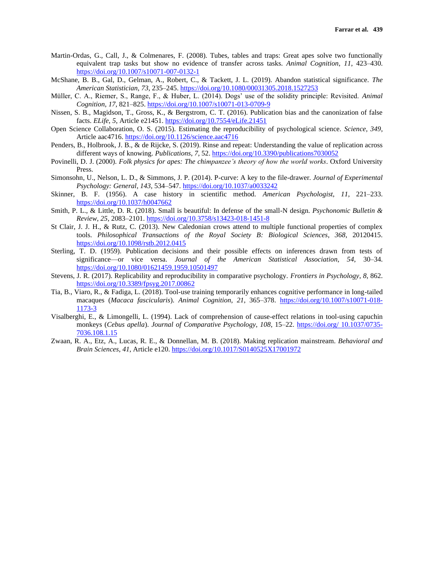- Martin-Ordas, G., Call, J., & Colmenares, F. (2008). Tubes, tables and traps: Great apes solve two functionally equivalent trap tasks but show no evidence of transfer across tasks. *Animal Cognition*, *11*, 423–430. <https://doi.org/10.1007/s10071-007-0132-1>
- McShane, B. B., Gal, D., Gelman, A., Robert, C., & Tackett, J. L. (2019). Abandon statistical significance. *The American Statistician*, *73*, 235–245[. https://doi.org/10.1080/00031305.2018.1527253](https://doi.org/10.1080/00031305.2018.1527253)
- Müller, C. A., Riemer, S., Range, F., & Huber, L. (2014). Dogs' use of the solidity principle: Revisited. *Animal Cognition*, *17*, 821–825.<https://doi.org/10.1007/s10071-013-0709-9>
- Nissen, S. B., Magidson, T., Gross, K., & Bergstrom, C. T. (2016). Publication bias and the canonization of false facts. *ELife*, *5*, Article e21451.<https://doi.org/10.7554/eLife.21451>
- Open Science Collaboration, O. S. (2015). Estimating the reproducibility of psychological science. *Science, 349*, Article aac4716[. https://doi.org/10.1126/science.aac4716](https://doi.org/10.1126/science.aac4716)
- Penders, B., Holbrook, J. B., & de Rijcke, S. (2019). Rinse and repeat: Understanding the value of replication across different ways of knowing. *Publications*, *7*, 52.<https://doi.org/10.3390/publications7030052>
- Povinelli, D. J. (2000). *Folk physics for apes: The chimpanzee's theory of how the world works*. Oxford University Press.
- Simonsohn, U., Nelson, L. D., & Simmons, J. P. (2014). P-curve: A key to the file-drawer. *Journal of Experimental Psychology: General*, *143*, 534–547[. https://doi.org/10.1037/a0033242](https://doi.org/10.1037/a0033242)
- Skinner, B. F. (1956). A case history in scientific method. *American Psychologist*, *11*, 221–233. <https://doi.org/10.1037/h0047662>
- Smith, P. L., & Little, D. R. (2018). Small is beautiful: In defense of the small-N design. *Psychonomic Bulletin & Review*, *25*, 2083–2101.<https://doi.org/10.3758/s13423-018-1451-8>
- St Clair, J. J. H., & Rutz, C. (2013). New Caledonian crows attend to multiple functional properties of complex tools. *Philosophical Transactions of the Royal Society B: Biological Sciences*, *368*, 20120415. <https://doi.org/10.1098/rstb.2012.0415>
- Sterling, T. D. (1959). Publication decisions and their possible effects on inferences drawn from tests of significance—or vice versa. *Journal of the American Statistical Association*, *54*, 30–34. <https://doi.org/10.1080/01621459.1959.10501497>
- Stevens, J. R. (2017). Replicability and reproducibility in comparative psychology. *Frontiers in Psychology*, *8*, 862. <https://doi.org/10.3389/fpsyg.2017.00862>
- Tia, B., Viaro, R., & Fadiga, L. (2018). Tool-use training temporarily enhances cognitive performance in long-tailed macaques (*Macaca fascicularis*). *Animal Cognition*, *21*, 365–378. [https://doi.org/10.1007/s10071-018-](https://doi.org/10.1007/s10071-018-1173-3) [1173-3](https://doi.org/10.1007/s10071-018-1173-3)
- Visalberghi, E., & Limongelli, L. (1994). Lack of comprehension of cause-effect relations in tool-using capuchin monkeys (*Cebus apella*). *Journal of Comparative Psychology*, *108*, 15–22. [https://doi.org/](https://doi.org/%2010.1037/0735-7036.108.1.15) 10.1037/0735- [7036.108.1.15](https://doi.org/%2010.1037/0735-7036.108.1.15)
- Zwaan, R. A., Etz, A., Lucas, R. E., & Donnellan, M. B. (2018). Making replication mainstream. *Behavioral and Brain Sciences*, *41*, Article e120[. https://doi.org/10.1017/S0140525X17001972](https://doi.org/10.1017/S0140525X17001972)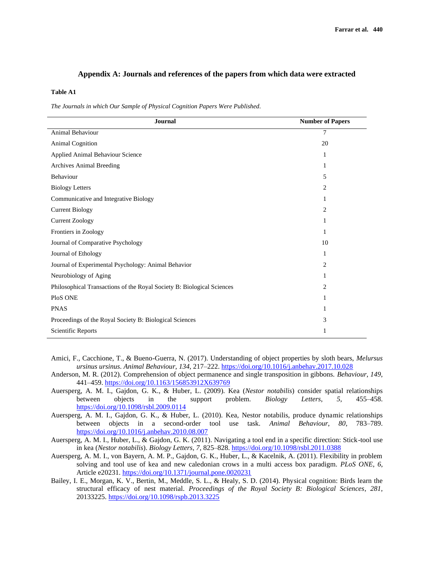## **Appendix A: Journals and references of the papers from which data were extracted**

#### **Table A1**

*The Journals in which Our Sample of Physical Cognition Papers Were Published*.

| <b>Journal</b>                                                         | <b>Number of Papers</b> |
|------------------------------------------------------------------------|-------------------------|
| Animal Behaviour                                                       | $\overline{7}$          |
| <b>Animal Cognition</b>                                                | 20                      |
| Applied Animal Behaviour Science                                       | 1                       |
| <b>Archives Animal Breeding</b>                                        | 1                       |
| Behaviour                                                              | 5                       |
| <b>Biology Letters</b>                                                 | 2                       |
| Communicative and Integrative Biology                                  | 1                       |
| <b>Current Biology</b>                                                 | $\overline{2}$          |
| <b>Current Zoology</b>                                                 | 1                       |
| Frontiers in Zoology                                                   | 1                       |
| Journal of Comparative Psychology                                      | 10                      |
| Journal of Ethology                                                    | 1                       |
| Journal of Experimental Psychology: Animal Behavior                    | $\overline{2}$          |
| Neurobiology of Aging                                                  | 1                       |
| Philosophical Transactions of the Royal Society B: Biological Sciences | 2                       |
| PloS ONE                                                               | 1                       |
| <b>PNAS</b>                                                            |                         |
| Proceedings of the Royal Society B: Biological Sciences                | 3                       |
| Scientific Reports                                                     | 1                       |

- Amici, F., Cacchione, T., & Bueno-Guerra, N. (2017). Understanding of object properties by sloth bears, *Melursus ursinus ursinus*. *Animal Behaviour*, *134*, 217–222[. https://doi.org/10.1016/j.anbehav.2017.10.028](https://doi.org/10.1016/j.anbehav.2017.10.028)
- Anderson, M. R. (2012). Comprehension of object permanence and single transposition in gibbons. *Behaviour*, *149*, 441–459.<https://doi.org/10.1163/156853912X639769>
- Auersperg, A. M. I., Gajdon, G. K., & Huber, L. (2009). Kea (*Nestor notabilis*) consider spatial relationships between objects in the support problem. *Biology Letters*, *5*, 455–458. <https://doi.org/10.1098/rsbl.2009.0114>
- Auersperg, A. M. I., Gajdon, G. K., & Huber, L. (2010). Kea, Nestor notabilis, produce dynamic relationships between objects in a second-order tool use task. *Animal Behaviour*, *80*, 783–789. <https://doi.org/10.1016/j.anbehav.2010.08.007>
- Auersperg, A. M. I., Huber, L., & Gajdon, G. K. (2011). Navigating a tool end in a specific direction: Stick-tool use in kea (*Nestor notabilis*). *Biology Letters*, *7*, 825–828.<https://doi.org/10.1098/rsbl.2011.0388>
- Auersperg, A. M. I., von Bayern, A. M. P., Gajdon, G. K., Huber, L., & Kacelnik, A. (2011). Flexibility in problem solving and tool use of kea and new caledonian crows in a multi access box paradigm. *PLoS ONE*, *6*, Article e20231[. https://doi.org/10.1371/journal.pone.0020231](https://doi.org/10.1371/journal.pone.0020231)
- Bailey, I. E., Morgan, K. V., Bertin, M., Meddle, S. L., & Healy, S. D. (2014). Physical cognition: Birds learn the structural efficacy of nest material. *Proceedings of the Royal Society B: Biological Sciences*, *281*, 20133225.<https://doi.org/10.1098/rspb.2013.3225>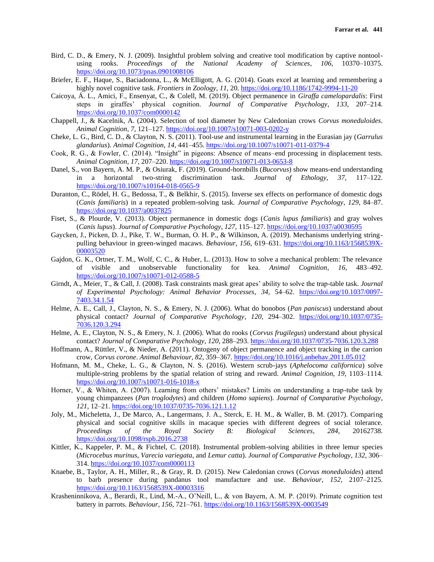- Bird, C. D., & Emery, N. J. (2009). Insightful problem solving and creative tool modification by captive nontoolusing rooks. *Proceedings of the National Academy of Sciences*, *106*, 10370–10375. <https://doi.org/10.1073/pnas.0901008106>
- Briefer, E. F., Haque, S., Baciadonna, L., & McElligott, A. G. (2014). Goats excel at learning and remembering a highly novel cognitive task. *Frontiers in Zoology*, *11*, 20.<https://doi.org/10.1186/1742-9994-11-20>
- Caicoya, Á. L., Amici, F., Ensenyat, C., & Colell, M. (2019). Object permanence in *Giraffa camelopardalis*: First steps in giraffes' physical cognition. *Journal of Comparative Psychology*, *133*, 207–214. <https://doi.org/10.1037/com0000142>
- Chappell, J., & Kacelnik, A. (2004). Selection of tool diameter by New Caledonian crows *Corvus moneduloides*. *Animal Cognition*, *7*, 121–127.<https://doi.org/10.1007/s10071-003-0202-y>
- Cheke, L. G., Bird, C. D., & Clayton, N. S. (2011). Tool-use and instrumental learning in the Eurasian jay (*Garrulus glandarius*). *Animal Cognition*, *14*, 441–455.<https://doi.org/10.1007/s10071-011-0379-4>
- Cook, R. G., & Fowler, C. (2014). "Insight" in pigeons: Absence of means–end processing in displacement tests. *Animal Cognition*, *17*, 207–220.<https://doi.org/10.1007/s10071-013-0653-8>
- Danel, S., von Bayern, A. M. P., & Osiurak, F. (2019). Ground-hornbills (*Bucorvus*) show means-end understanding in a horizontal two-string discrimination task. *Journal of Ethology*, *37*, 117–122. <https://doi.org/10.1007/s10164-018-0565-9>
- Duranton, C., Rödel, H. G., Bedossa, T., & Belkhir, S. (2015). Inverse sex effects on performance of domestic dogs (*Canis familiaris*) in a repeated problem-solving task. *Journal of Comparative Psychology*, *129*, 84–87. <https://doi.org/10.1037/a0037825>
- Fiset, S., & Plourde, V. (2013). Object permanence in domestic dogs (*Canis lupus familiaris*) and gray wolves (*Canis lupus*). *Journal of Comparative Psychology, 127*, 115–127.<https://doi.org/10.1037/a0030595>
- Gaycken, J., Picken, D. J., Pike, T. W., Burman, O. H. P., & Wilkinson, A. (2019). Mechanisms underlying stringpulling behaviour in green-winged macaws. *Behaviour*, *156*, 619–631. [https://doi.org/10.1163/1568539X-](https://doi.org/10.1163/1568539X-00003520)[00003520](https://doi.org/10.1163/1568539X-00003520)
- Gajdon, G. K., Ortner, T. M., Wolf, C. C., & Huber, L. (2013). How to solve a mechanical problem: The relevance of visible and unobservable functionality for kea. *Animal Cognition*, *16*, 483–492. <https://doi.org/10.1007/s10071-012-0588-5>
- Girndt, A., Meier, T., & Call, J. (2008). Task constraints mask great apes' ability to solve the trap-table task. *Journal of Experimental Psychology: Animal Behavior Processes*, *34*, 54–62. [https://doi.org/10.1037/0097-](https://doi.org/10.1037/0097-7403.34.1.54) [7403.34.1.54](https://doi.org/10.1037/0097-7403.34.1.54)
- Helme, A. E., Call, J., Clayton, N. S., & Emery, N. J. (2006). What do bonobos (*Pan paniscus*) understand about physical contact? *Journal of Comparative Psychology*, *120*, 294–302. [https://doi.org/10.1037/0735-](https://doi.org/10.1037/0735-7036.120.3.294) [7036.120.3.294](https://doi.org/10.1037/0735-7036.120.3.294)
- Helme, A. E., Clayton, N. S., & Emery, N. J. (2006). What do rooks (*Corvus frugilegus*) understand about physical contact? *Journal of Comparative Psychology*, *120*, 288–293[. https://doi.org/10.1037/0735-7036.120.3.288](https://doi.org/10.1037/0735-7036.120.3.288)
- Hoffmann, A., Rüttler, V., & Nieder, A. (2011). Ontogeny of object permanence and object tracking in the carrion crow, *Corvus corone*. *Animal Behaviour*, *82*, 359–367.<https://doi.org/10.1016/j.anbehav.2011.05.012>
- Hofmann, M. M., Cheke, L. G., & Clayton, N. S. (2016). Western scrub-jays (*Aphelocoma californica*) solve multiple-string problems by the spatial relation of string and reward. *Animal Cognition*, *19*, 1103–1114. <https://doi.org/10.1007/s10071-016-1018-x>
- Horner, V., & Whiten, A. (2007). Learning from others' mistakes? Limits on understanding a trap-tube task by young chimpanzees (*Pan troglodytes*) and children (*Homo sapiens*). *Journal of Comparative Psychology*, *121*, 12–21.<https://doi.org/10.1037/0735-7036.121.1.12>
- Joly, M., Micheletta, J., De Marco, A., Langermans, J. A., Sterck, E. H. M., & Waller, B. M. (2017). Comparing physical and social cognitive skills in macaque species with different degrees of social tolerance. *Proceedings of the Royal Society B: Biological Sciences*, *284*, 20162738. <https://doi.org/10.1098/rspb.2016.2738>
- Kittler, K., Kappeler, P. M., & Fichtel, C. (2018). Instrumental problem-solving abilities in three lemur species (*Microcebus murinus, Varecia variegata*, and *Lemur catta*). *Journal of Comparative Psychology*, *132*, 306– 314.<https://doi.org/10.1037/com0000113>
- Knaebe, B., Taylor, A. H., Miller, R., & Gray, R. D. (2015). New Caledonian crows (*Corvus moneduloides*) attend to barb presence during pandanus tool manufacture and use. *Behaviour*, *152*, 2107–2125. <https://doi.org/10.1163/1568539X-00003316>
- Krasheninnikova, A., Berardi, R., Lind, M.-A., O'Neill, L., & von Bayern, A. M. P. (2019). Primate cognition test battery in parrots. *Behaviour*, *156*, 721–761.<https://doi.org/10.1163/1568539X-0003549>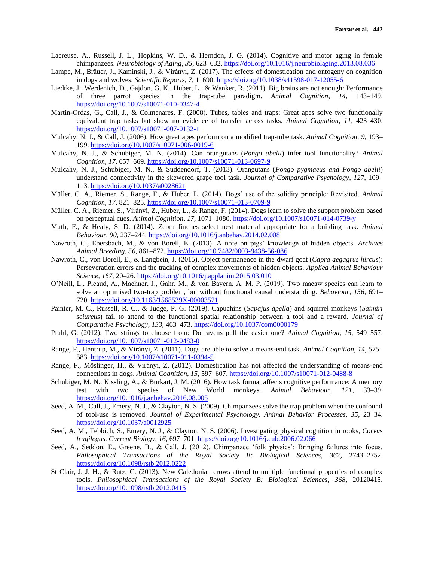- Lacreuse, A., Russell, J. L., Hopkins, W. D., & Herndon, J. G. (2014). Cognitive and motor aging in female chimpanzees. *Neurobiology of Aging*, *35*, 623–632.<https://doi.org/10.1016/j.neurobiolaging.2013.08.036>
- Lampe, M., Bräuer, J., Kaminski, J., & Virányi, Z. (2017). The effects of domestication and ontogeny on cognition in dogs and wolves. *Scientific Reports*, *7*, 11690.<https://doi.org/10.1038/s41598-017-12055-6>
- Liedtke, J., Werdenich, D., Gajdon, G. K., Huber, L., & Wanker, R. (2011). Big brains are not enough: Performance of three parrot species in the trap-tube paradigm. *Animal Cognition*, *14*, 143–149. <https://doi.org/10.1007/s10071-010-0347-4>
- Martin-Ordas, G., Call, J., & Colmenares, F. (2008). Tubes, tables and traps: Great apes solve two functionally equivalent trap tasks but show no evidence of transfer across tasks. *Animal Cognition*, *11*, 423–430. <https://doi.org/10.1007/s10071-007-0132-1>
- Mulcahy, N. J., & Call, J. (2006). How great apes perform on a modified trap-tube task. *Animal Cognition*, *9*, 193– 199.<https://doi.org/10.1007/s10071-006-0019-6>
- Mulcahy, N. J., & Schubiger, M. N. (2014). Can orangutans (*Pongo abelii*) infer tool functionality? *Animal Cognition*, *17*, 657–669.<https://doi.org/10.1007/s10071-013-0697-9>
- Mulcahy, N. J., Schubiger, M. N., & Suddendorf, T. (2013). Orangutans (*Pongo pygmaeus and Pongo abelii*) understand connectivity in the skewered grape tool task. *Journal of Comparative Psychology*, *127*, 109– 113.<https://doi.org/10.1037/a0028621>
- Müller, C. A., Riemer, S., Range, F., & Huber, L. (2014). Dogs' use of the solidity principle: Revisited. *Animal Cognition*, *17*, 821–825.<https://doi.org/10.1007/s10071-013-0709-9>
- Müller, C. A., Riemer, S., Virányi, Z., Huber, L., & Range, F. (2014). Dogs learn to solve the support problem based on perceptual cues. *Animal Cognition*, *17*, 1071–1080.<https://doi.org/10.1007/s10071-014-0739-y>
- Muth, F., & Healy, S. D. (2014). Zebra finches select nest material appropriate for a building task. *Animal Behaviour*, *90*, 237–244[. https://doi.org/10.1016/j.anbehav.2014.02.008](https://doi.org/10.1016/j.anbehav.2014.02.008)
- Nawroth, C., Ebersbach, M., & von Borell, E. (2013). A note on pigs' knowledge of hidden objects. *Archives Animal Breeding*, *56*, 861–872.<https://doi.org/10.7482/0003-9438-56-086>
- Nawroth, C., von Borell, E., & Langbein, J. (2015). Object permanence in the dwarf goat (*Capra aegagrus hircus*): Perseveration errors and the tracking of complex movements of hidden objects. *Applied Animal Behaviour Science*, *167*, 20–26[. https://doi.org/10.1016/j.applanim.2015.03.010](https://doi.org/10.1016/j.applanim.2015.03.010)
- O'Neill, L., Picaud, A., Maehner, J., Gahr, M., & von Bayern, A. M. P. (2019). Two macaw species can learn to solve an optimised two-trap problem, but without functional causal understanding. *Behaviour*, *156*, 691– 720.<https://doi.org/10.1163/1568539X-00003521>
- Painter, M. C., Russell, R. C., & Judge, P. G. (2019). Capuchins (*Sapajus apella*) and squirrel monkeys (*Saimiri sciureus*) fail to attend to the functional spatial relationship between a tool and a reward. *Journal of Comparative Psychology*, *133*, 463–473.<https://doi.org/10.1037/com0000179>
- Pfuhl, G. (2012). Two strings to choose from: Do ravens pull the easier one? *Animal Cognition*, *15*, 549–557. <https://doi.org/10.1007/s10071-012-0483-0>
- Range, F., Hentrup, M., & Virányi, Z. (2011). Dogs are able to solve a means-end task. *Animal Cognition*, *14*, 575– 583.<https://doi.org/10.1007/s10071-011-0394-5>
- Range, F., Möslinger, H., & Virányi, Z. (2012). Domestication has not affected the understanding of means-end connections in dogs. *Animal Cognition*, *15*, 597–607.<https://doi.org/10.1007/s10071-012-0488-8>
- Schubiger, M. N., Kissling, A., & Burkart, J. M. (2016). How task format affects cognitive performance: A memory test with two species of New World monkeys. *Animal Behaviour*, *121*, 33–39. <https://doi.org/10.1016/j.anbehav.2016.08.005>
- Seed, A. M., Call, J., Emery, N. J., & Clayton, N. S. (2009). Chimpanzees solve the trap problem when the confound of tool-use is removed. *Journal of Experimental Psychology. Animal Behavior Processes*, *35*, 23–34. <https://doi.org/10.1037/a0012925>
- Seed, A. M., Tebbich, S., Emery, N. J., & Clayton, N. S. (2006). Investigating physical cognition in rooks, *Corvus frugilegus*. *Current Biology*, *16*, 697–701.<https://doi.org/10.1016/j.cub.2006.02.066>
- Seed, A., Seddon, E., Greene, B., & Call, J. (2012). Chimpanzee 'folk physics': Bringing failures into focus. *Philosophical Transactions of the Royal Society B: Biological Sciences*, *367*, 2743–2752. <https://doi.org/10.1098/rstb.2012.0222>
- St Clair, J. J. H., & Rutz, C. (2013). New Caledonian crows attend to multiple functional properties of complex tools. *Philosophical Transactions of the Royal Society B: Biological Sciences*, *368*, 20120415. <https://doi.org/10.1098/rstb.2012.0415>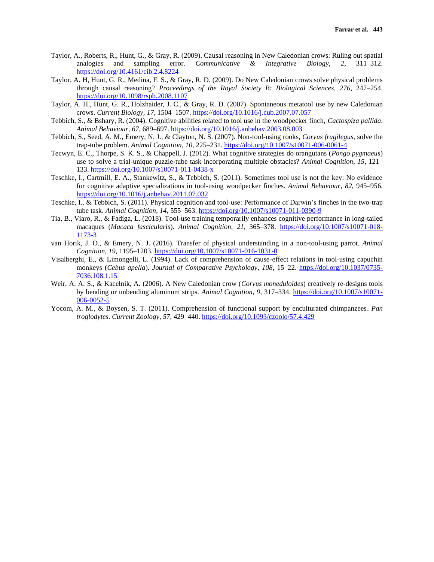- Taylor, A., Roberts, R., Hunt, G., & Gray, R. (2009). Causal reasoning in New Caledonian crows: Ruling out spatial analogies and sampling error. *Communicative & Integrative Biology*, *2*, 311–312. <https://doi.org/10.4161/cib.2.4.8224>
- Taylor, A. H, Hunt, G. R., Medina, F. S., & Gray, R. D. (2009). Do New Caledonian crows solve physical problems through causal reasoning? *Proceedings of the Royal Society B: Biological Sciences*, *276*, 247–254. <https://doi.org/10.1098/rspb.2008.1107>
- Taylor, A. H., Hunt, G. R., Holzhaider, J. C., & Gray, R. D. (2007). Spontaneous metatool use by new Caledonian crows. *Current Biology*, *17*, 1504–1507.<https://doi.org/10.1016/j.cub.2007.07.057>
- Tebbich, S., & Bshary, R. (2004). Cognitive abilities related to tool use in the woodpecker finch, *Cactospiza pallida*. *Animal Behaviour*, *67*, 689–697. <https://doi.org/10.1016/j.anbehav.2003.08.003>
- Tebbich, S., Seed, A. M., Emery, N. J., & Clayton, N. S. (2007). Non-tool-using rooks, *Corvus frugilegus*, solve the trap-tube problem. *Animal Cognition*, *10*, 225–231.<https://doi.org/10.1007/s10071-006-0061-4>
- Tecwyn, E. C., Thorpe, S. K. S., & Chappell, J. (2012). What cognitive strategies do orangutans (*Pongo pygmaeus*) use to solve a trial-unique puzzle-tube task incorporating multiple obstacles? *Animal Cognition*, *15*, 121– 133.<https://doi.org/10.1007/s10071-011-0438-x>
- Teschke, I., Cartmill, E. A., Stankewitz, S., & Tebbich, S. (2011). Sometimes tool use is not the key: No evidence for cognitive adaptive specializations in tool-using woodpecker finches. *Animal Behaviour*, *82*, 945–956. <https://doi.org/10.1016/j.anbehav.2011.07.032>
- Teschke, I., & Tebbich, S. (2011). Physical cognition and tool-use: Performance of Darwin's finches in the two-trap tube task. *Animal Cognition*, *14*, 555–563.<https://doi.org/10.1007/s10071-011-0390-9>
- Tia, B., Viaro, R., & Fadiga, L. (2018). Tool-use training temporarily enhances cognitive performance in long-tailed macaques (*Macaca fascicularis*). *Animal Cognition*, *21*, 365–378. [https://doi.org/10.1007/s10071-018-](https://doi.org/10.1007/s10071-018-1173-3) [1173-3](https://doi.org/10.1007/s10071-018-1173-3)
- van Horik, J. O., & Emery, N. J. (2016). Transfer of physical understanding in a non-tool-using parrot. *Animal Cognition*, *19*, 1195–1203.<https://doi.org/10.1007/s10071-016-1031-0>
- Visalberghi, E., & Limongelli, L. (1994). Lack of comprehension of cause-effect relations in tool-using capuchin monkeys (*Cebus apella*). *Journal of Comparative Psychology*, *108*, 15–22. [https://doi.org/10.1037/0735-](https://doi.org/10.1037/0735-7036.108.1.15) [7036.108.1.15](https://doi.org/10.1037/0735-7036.108.1.15)
- Weir, A. A. S., & Kacelnik, A. (2006). A New Caledonian crow (*Corvus moneduloides*) creatively re-designs tools by bending or unbending aluminum strips. *Animal Cognition*, *9*, 317–334. [https://doi.org/10.1007/s10071-](https://doi.org/10.1038/s41598-017-11400-z) [006-0052-5](https://doi.org/10.1038/s41598-017-11400-z)
- Yocom, A. M., & Boysen, S. T. (2011). Comprehension of functional support by enculturated chimpanzees. *Pan troglodytes*. *Current Zoology*, *57*, 429–440. [https://doi.org/10.1093/czoolo/57.4.429](https://doi.org/10.1038/s41598-017-11400-z)